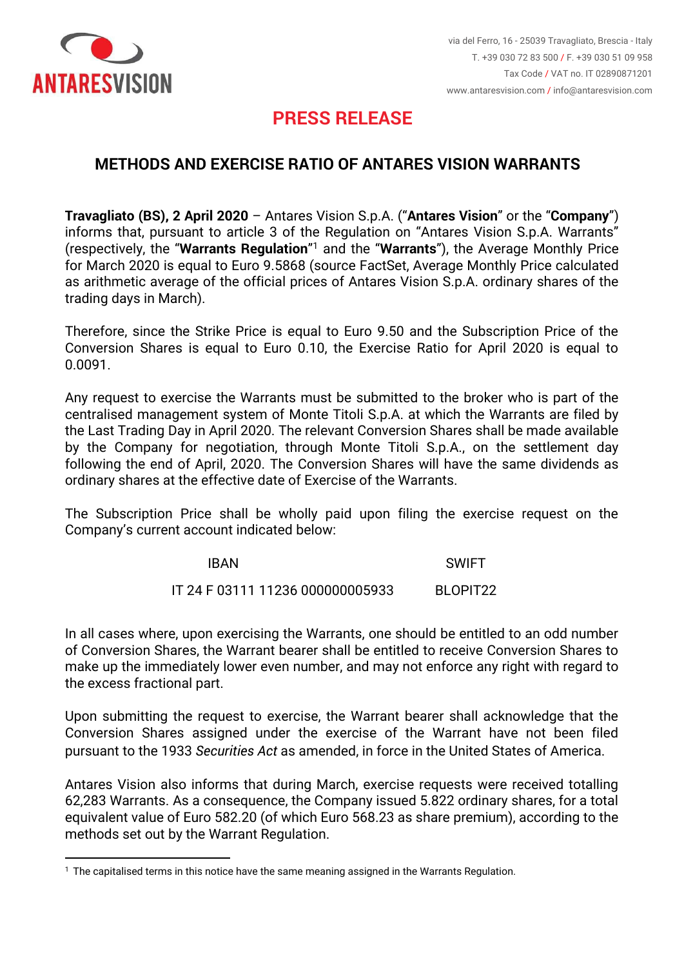

## **PRESS RELEASE**

## **METHODS AND EXERCISE RATIO OF ANTARES VISION WARRANTS**

**Travagliato (BS), 2 April 2020** – Antares Vision S.p.A. ("**Antares Vision**" or the "**Company**") informs that, pursuant to article 3 of the Regulation on "Antares Vision S.p.A. Warrants" (respectively, the "**Warrants Regulation**" <sup>1</sup> and the "**Warrants**"), the Average Monthly Price for March 2020 is equal to Euro 9.5868 (source FactSet, Average Monthly Price calculated as arithmetic average of the official prices of Antares Vision S.p.A. ordinary shares of the trading days in March).

Therefore, since the Strike Price is equal to Euro 9.50 and the Subscription Price of the Conversion Shares is equal to Euro 0.10, the Exercise Ratio for April 2020 is equal to 0.0091.

Any request to exercise the Warrants must be submitted to the broker who is part of the centralised management system of Monte Titoli S.p.A. at which the Warrants are filed by the Last Trading Day in April 2020. The relevant Conversion Shares shall be made available by the Company for negotiation, through Monte Titoli S.p.A., on the settlement day following the end of April, 2020. The Conversion Shares will have the same dividends as ordinary shares at the effective date of Exercise of the Warrants.

The Subscription Price shall be wholly paid upon filing the exercise request on the Company's current account indicated below:

| <b>IBAN</b>                      | SWIFT                |
|----------------------------------|----------------------|
| IT 24 F 03111 11236 000000005933 | BLOPIT <sub>22</sub> |

In all cases where, upon exercising the Warrants, one should be entitled to an odd number of Conversion Shares, the Warrant bearer shall be entitled to receive Conversion Shares to make up the immediately lower even number, and may not enforce any right with regard to the excess fractional part.

Upon submitting the request to exercise, the Warrant bearer shall acknowledge that the Conversion Shares assigned under the exercise of the Warrant have not been filed pursuant to the 1933 *Securities Act* as amended, in force in the United States of America.

Antares Vision also informs that during March, exercise requests were received totalling 62,283 Warrants. As a consequence, the Company issued 5.822 ordinary shares, for a total equivalent value of Euro 582.20 (of which Euro 568.23 as share premium), according to the methods set out by the Warrant Regulation.

<sup>1</sup> The capitalised terms in this notice have the same meaning assigned in the Warrants Regulation.